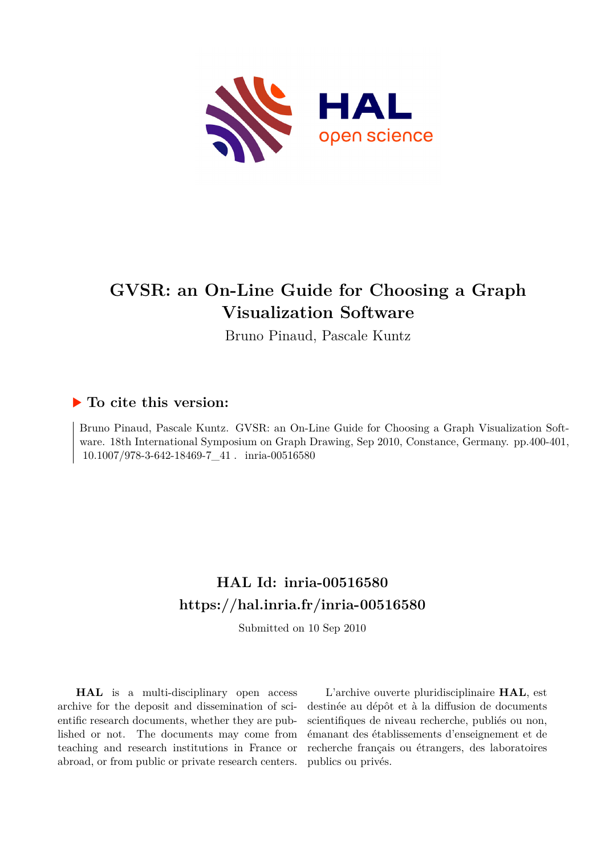

# **GVSR: an On-Line Guide for Choosing a Graph Visualization Software**

Bruno Pinaud, Pascale Kuntz

## **To cite this version:**

Bruno Pinaud, Pascale Kuntz. GVSR: an On-Line Guide for Choosing a Graph Visualization Software. 18th International Symposium on Graph Drawing, Sep 2010, Constance, Germany. pp.400-401, 10.1007/978-3-642-18469-7\_41 mria-00516580

## **HAL Id: inria-00516580 <https://hal.inria.fr/inria-00516580>**

Submitted on 10 Sep 2010

**HAL** is a multi-disciplinary open access archive for the deposit and dissemination of scientific research documents, whether they are published or not. The documents may come from teaching and research institutions in France or abroad, or from public or private research centers.

L'archive ouverte pluridisciplinaire **HAL**, est destinée au dépôt et à la diffusion de documents scientifiques de niveau recherche, publiés ou non, émanant des établissements d'enseignement et de recherche français ou étrangers, des laboratoires publics ou privés.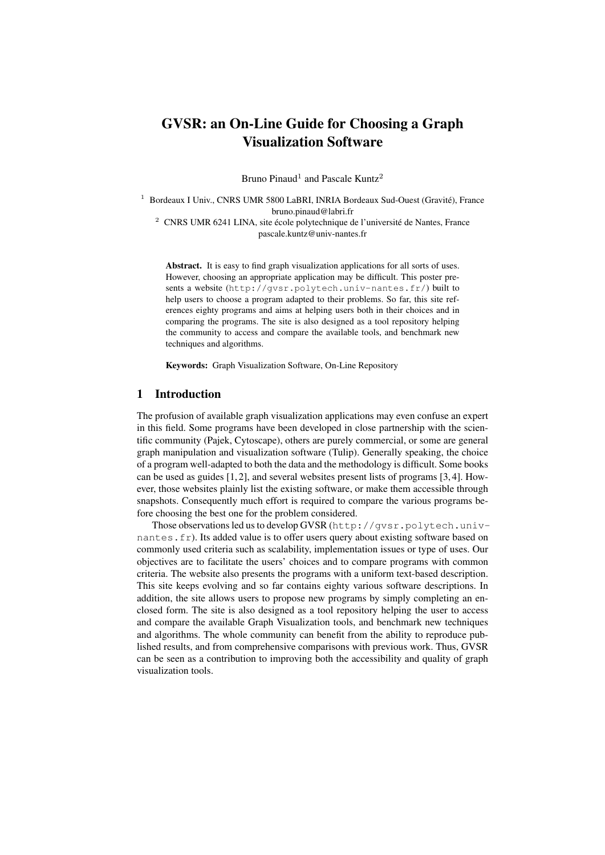## GVSR: an On-Line Guide for Choosing a Graph Visualization Software

Bruno Pinaud<sup>1</sup> and Pascale Kuntz<sup>2</sup>

<sup>1</sup> Bordeaux I Univ., CNRS UMR 5800 LaBRI, INRIA Bordeaux Sud-Ouest (Gravité), France bruno.pinaud@labri.fr <sup>2</sup> CNRS UMR 6241 LINA, site école polytechnique de l'université de Nantes, France

pascale.kuntz@univ-nantes.fr

Abstract. It is easy to find graph visualization applications for all sorts of uses. However, choosing an appropriate application may be difficult. This poster presents a website (http://gvsr.polytech.univ-nantes.fr/) built to help users to choose a program adapted to their problems. So far, this site references eighty programs and aims at helping users both in their choices and in comparing the programs. The site is also designed as a tool repository helping the community to access and compare the available tools, and benchmark new techniques and algorithms.

Keywords: Graph Visualization Software, On-Line Repository

#### 1 Introduction

The profusion of available graph visualization applications may even confuse an expert in this field. Some programs have been developed in close partnership with the scientific community (Pajek, Cytoscape), others are purely commercial, or some are general graph manipulation and visualization software (Tulip). Generally speaking, the choice of a program well-adapted to both the data and the methodology is difficult. Some books can be used as guides [1, 2], and several websites present lists of programs [3, 4]. However, those websites plainly list the existing software, or make them accessible through snapshots. Consequently much effort is required to compare the various programs before choosing the best one for the problem considered.

Those observations led us to develop GVSR (http://gvsr.polytech.univnantes.fr). Its added value is to offer users query about existing software based on commonly used criteria such as scalability, implementation issues or type of uses. Our objectives are to facilitate the users' choices and to compare programs with common criteria. The website also presents the programs with a uniform text-based description. This site keeps evolving and so far contains eighty various software descriptions. In addition, the site allows users to propose new programs by simply completing an enclosed form. The site is also designed as a tool repository helping the user to access and compare the available Graph Visualization tools, and benchmark new techniques and algorithms. The whole community can benefit from the ability to reproduce published results, and from comprehensive comparisons with previous work. Thus, GVSR can be seen as a contribution to improving both the accessibility and quality of graph visualization tools.